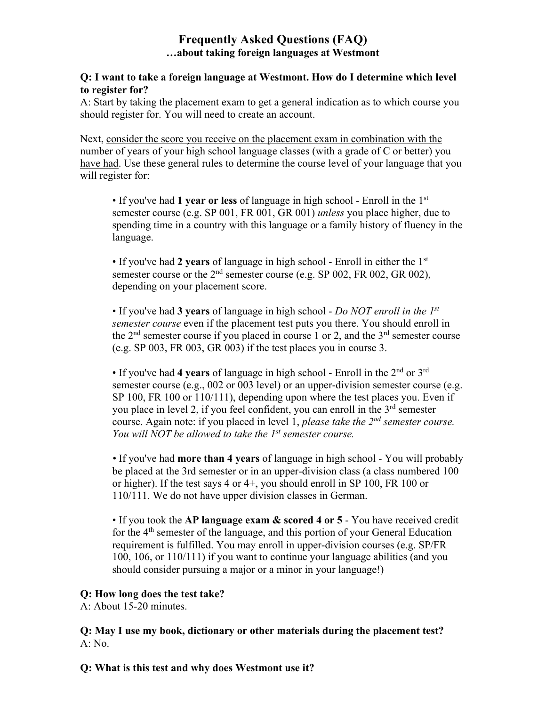# **Frequently Asked Questions (FAQ) …about taking foreign languages at Westmont**

#### **Q: I want to take a foreign language at Westmont. How do I determine which level to register for?**

A: Start by taking the placement exam to get a general indication as to which course you should register for. You will need to create an account.

Next, consider the score you receive on the placement exam in combination with the number of years of your high school language classes (with a grade of C or better) you have had. Use these general rules to determine the course level of your language that you will register for:

• If you've had **1 year or less** of language in high school - Enroll in the 1st semester course (e.g. SP 001, FR 001, GR 001) *unless* you place higher, due to spending time in a country with this language or a family history of fluency in the language.

• If you've had **2 years** of language in high school - Enroll in either the 1st semester course or the  $2<sup>nd</sup>$  semester course (e.g. SP 002, FR 002, GR 002), depending on your placement score.

• If you've had **3 years** of language in high school - *Do NOT enroll in the 1st semester course* even if the placement test puts you there. You should enroll in the  $2<sup>nd</sup>$  semester course if you placed in course 1 or 2, and the  $3<sup>rd</sup>$  semester course (e.g. SP 003, FR 003, GR 003) if the test places you in course 3.

• If you've had **4 years** of language in high school - Enroll in the 2nd or 3rd semester course (e.g., 002 or 003 level) or an upper-division semester course (e.g. SP 100, FR 100 or 110/111), depending upon where the test places you. Even if you place in level 2, if you feel confident, you can enroll in the  $3<sup>rd</sup>$  semester course. Again note: if you placed in level 1, *please take the 2nd semester course. You will NOT be allowed to take the 1st semester course.*

*•* If you've had **more than 4 years** of language in high school - You will probably be placed at the 3rd semester or in an upper-division class (a class numbered 100 or higher). If the test says 4 or 4+, you should enroll in SP 100, FR 100 or 110/111. We do not have upper division classes in German.

• If you took the **AP language exam & scored 4 or 5** - You have received credit for the 4th semester of the language, and this portion of your General Education requirement is fulfilled. You may enroll in upper-division courses (e.g. SP/FR 100, 106, or 110/111) if you want to continue your language abilities (and you should consider pursuing a major or a minor in your language!)

### **Q: How long does the test take?**

A: About 15-20 minutes.

**Q: May I use my book, dictionary or other materials during the placement test?** A: No.

**Q: What is this test and why does Westmont use it?**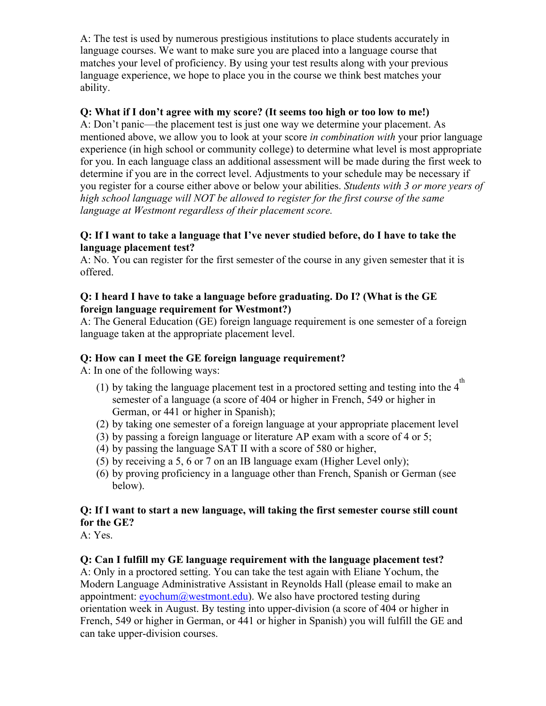A: The test is used by numerous prestigious institutions to place students accurately in language courses. We want to make sure you are placed into a language course that matches your level of proficiency. By using your test results along with your previous language experience, we hope to place you in the course we think best matches your ability.

## **Q: What if I don't agree with my score? (It seems too high or too low to me!)**

A: Don't panic—the placement test is just one way we determine your placement. As mentioned above, we allow you to look at your score *in combination with* your prior language experience (in high school or community college) to determine what level is most appropriate for you. In each language class an additional assessment will be made during the first week to determine if you are in the correct level. Adjustments to your schedule may be necessary if you register for a course either above or below your abilities. *Students with 3 or more years of high school language will NOT be allowed to register for the first course of the same language at Westmont regardless of their placement score.* 

#### **Q: If I want to take a language that I've never studied before, do I have to take the language placement test?**

A: No. You can register for the first semester of the course in any given semester that it is offered.

#### **Q: I heard I have to take a language before graduating. Do I? (What is the GE foreign language requirement for Westmont?)**

A: The General Education (GE) foreign language requirement is one semester of a foreign language taken at the appropriate placement level.

### **Q: How can I meet the GE foreign language requirement?**

A: In one of the following ways:

- (1) by taking the language placement test in a proctored setting and testing into the 4<sup>th</sup> semester of a language (a score of 404 or higher in French, 549 or higher in German, or 441 or higher in Spanish);
- (2) by taking one semester of a foreign language at your appropriate placement level
- (3) by passing a foreign language or literature AP exam with a score of 4 or 5;
- (4) by passing the language SAT II with a score of 580 or higher,
- (5) by receiving a 5, 6 or 7 on an IB language exam (Higher Level only);
- (6) by proving proficiency in a language other than French, Spanish or German (see below).

# **Q: If I want to start a new language, will taking the first semester course still count for the GE?**

A: Yes.

### **Q: Can I fulfill my GE language requirement with the language placement test?**

A: Only in a proctored setting. You can take the test again with Eliane Yochum, the Modern Language Administrative Assistant in Reynolds Hall (please email to make an appointment:  $evochum@westmont.edu)$ . We also have proctored testing during orientation week in August. By testing into upper-division (a score of 404 or higher in French, 549 or higher in German, or 441 or higher in Spanish) you will fulfill the GE and can take upper-division courses.